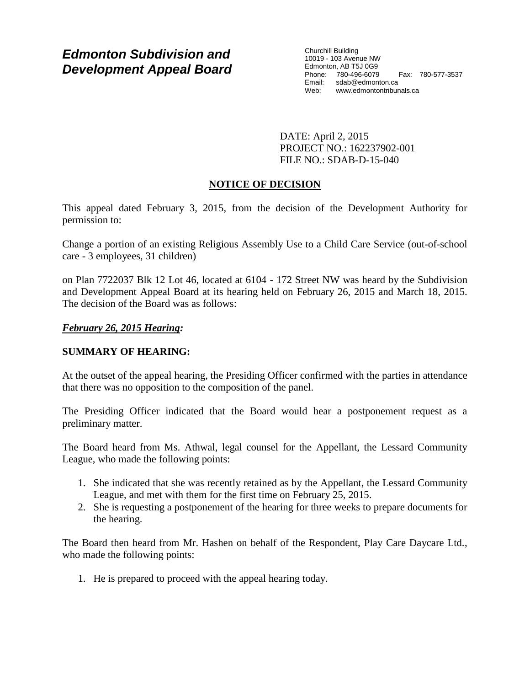# *Edmonton Subdivision and Development Appeal Board*

Churchill Building 10019 - 103 Avenue NW Edmonton, AB T5J 0G9 Phone: 780-496-6079 Fax: 780-577-3537 Email: sdab@edmonton.ca Web: www.edmontontribunals.ca

DATE: April 2, 2015 PROJECT NO.: 162237902-001 FILE NO.: SDAB-D-15-040

# **NOTICE OF DECISION**

This appeal dated February 3, 2015, from the decision of the Development Authority for permission to:

Change a portion of an existing Religious Assembly Use to a Child Care Service (out-of-school care - 3 employees, 31 children)

on Plan 7722037 Blk 12 Lot 46, located at 6104 - 172 Street NW was heard by the Subdivision and Development Appeal Board at its hearing held on February 26, 2015 and March 18, 2015. The decision of the Board was as follows:

## *February 26, 2015 Hearing:*

# **SUMMARY OF HEARING:**

At the outset of the appeal hearing, the Presiding Officer confirmed with the parties in attendance that there was no opposition to the composition of the panel.

The Presiding Officer indicated that the Board would hear a postponement request as a preliminary matter.

The Board heard from Ms. Athwal, legal counsel for the Appellant, the Lessard Community League, who made the following points:

- 1. She indicated that she was recently retained as by the Appellant, the Lessard Community League, and met with them for the first time on February 25, 2015.
- 2. She is requesting a postponement of the hearing for three weeks to prepare documents for the hearing.

The Board then heard from Mr. Hashen on behalf of the Respondent, Play Care Daycare Ltd., who made the following points:

1. He is prepared to proceed with the appeal hearing today.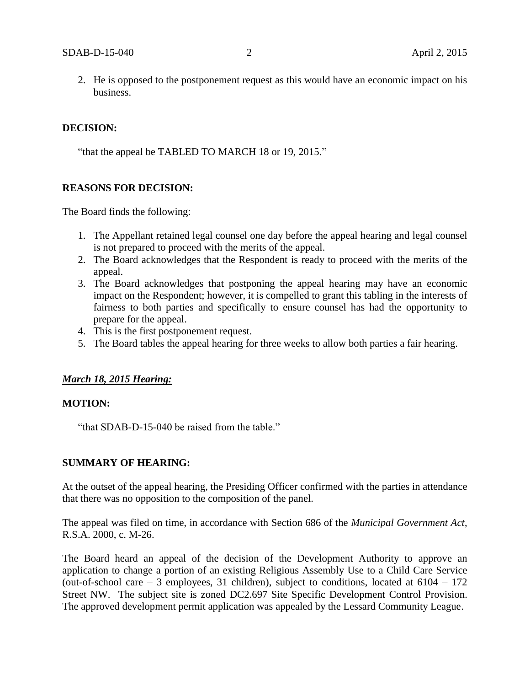2. He is opposed to the postponement request as this would have an economic impact on his business.

#### **DECISION:**

"that the appeal be TABLED TO MARCH 18 or 19, 2015."

#### **REASONS FOR DECISION:**

The Board finds the following:

- 1. The Appellant retained legal counsel one day before the appeal hearing and legal counsel is not prepared to proceed with the merits of the appeal.
- 2. The Board acknowledges that the Respondent is ready to proceed with the merits of the appeal.
- 3. The Board acknowledges that postponing the appeal hearing may have an economic impact on the Respondent; however, it is compelled to grant this tabling in the interests of fairness to both parties and specifically to ensure counsel has had the opportunity to prepare for the appeal.
- 4. This is the first postponement request.
- 5. The Board tables the appeal hearing for three weeks to allow both parties a fair hearing.

#### *March 18, 2015 Hearing:*

#### **MOTION:**

"that SDAB-D-15-040 be raised from the table."

## **SUMMARY OF HEARING:**

At the outset of the appeal hearing, the Presiding Officer confirmed with the parties in attendance that there was no opposition to the composition of the panel.

The appeal was filed on time, in accordance with Section 686 of the *Municipal Government Act*, R.S.A. 2000, c. M-26.

The Board heard an appeal of the decision of the Development Authority to approve an application to change a portion of an existing Religious Assembly Use to a Child Care Service (out-of-school care  $-3$  employees, 31 children), subject to conditions, located at  $6104 - 172$ Street NW. The subject site is zoned DC2.697 Site Specific Development Control Provision. The approved development permit application was appealed by the Lessard Community League.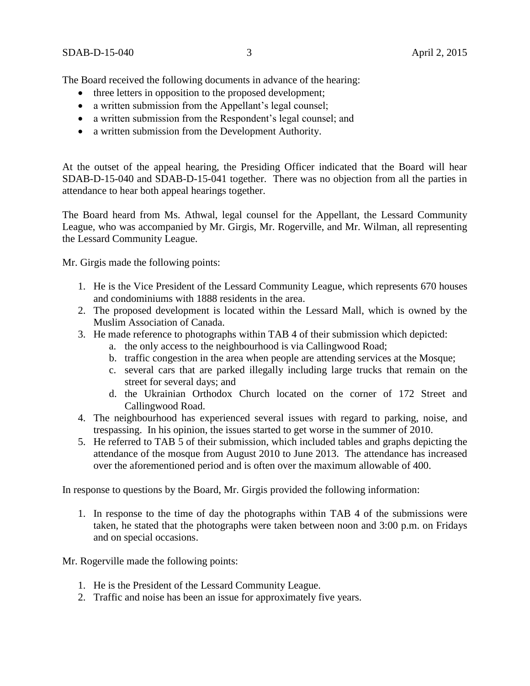The Board received the following documents in advance of the hearing:

- three letters in opposition to the proposed development;
- a written submission from the Appellant's legal counsel;
- a written submission from the Respondent's legal counsel; and
- a written submission from the Development Authority.

At the outset of the appeal hearing, the Presiding Officer indicated that the Board will hear SDAB-D-15-040 and SDAB-D-15-041 together. There was no objection from all the parties in attendance to hear both appeal hearings together.

The Board heard from Ms. Athwal, legal counsel for the Appellant, the Lessard Community League, who was accompanied by Mr. Girgis, Mr. Rogerville, and Mr. Wilman, all representing the Lessard Community League.

Mr. Girgis made the following points:

- 1. He is the Vice President of the Lessard Community League, which represents 670 houses and condominiums with 1888 residents in the area.
- 2. The proposed development is located within the Lessard Mall, which is owned by the Muslim Association of Canada.
- 3. He made reference to photographs within TAB 4 of their submission which depicted:
	- a. the only access to the neighbourhood is via Callingwood Road;
	- b. traffic congestion in the area when people are attending services at the Mosque;
	- c. several cars that are parked illegally including large trucks that remain on the street for several days; and
	- d. the Ukrainian Orthodox Church located on the corner of 172 Street and Callingwood Road.
- 4. The neighbourhood has experienced several issues with regard to parking, noise, and trespassing. In his opinion, the issues started to get worse in the summer of 2010.
- 5. He referred to TAB 5 of their submission, which included tables and graphs depicting the attendance of the mosque from August 2010 to June 2013. The attendance has increased over the aforementioned period and is often over the maximum allowable of 400.

In response to questions by the Board, Mr. Girgis provided the following information:

1. In response to the time of day the photographs within TAB 4 of the submissions were taken, he stated that the photographs were taken between noon and 3:00 p.m. on Fridays and on special occasions.

Mr. Rogerville made the following points:

- 1. He is the President of the Lessard Community League.
- 2. Traffic and noise has been an issue for approximately five years.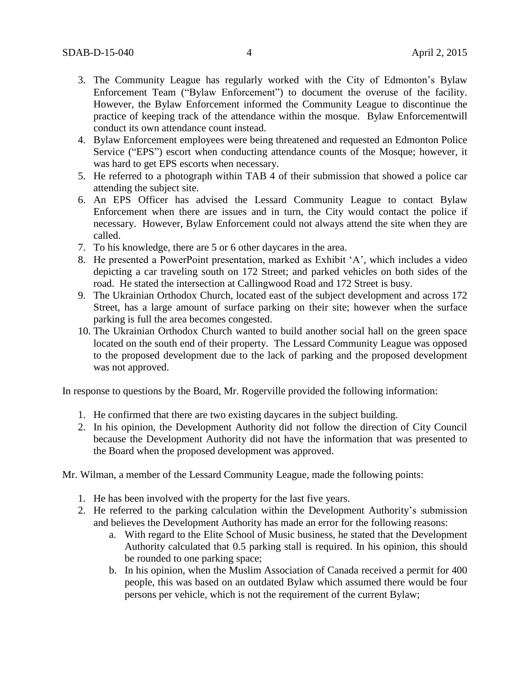- 3. The Community League has regularly worked with the City of Edmonton's Bylaw Enforcement Team ("Bylaw Enforcement") to document the overuse of the facility. However, the Bylaw Enforcement informed the Community League to discontinue the practice of keeping track of the attendance within the mosque. Bylaw Enforcementwill conduct its own attendance count instead.
- 4. Bylaw Enforcement employees were being threatened and requested an Edmonton Police Service ("EPS") escort when conducting attendance counts of the Mosque; however, it was hard to get EPS escorts when necessary.
- 5. He referred to a photograph within TAB 4 of their submission that showed a police car attending the subject site.
- 6. An EPS Officer has advised the Lessard Community League to contact Bylaw Enforcement when there are issues and in turn, the City would contact the police if necessary. However, Bylaw Enforcement could not always attend the site when they are called.
- 7. To his knowledge, there are 5 or 6 other daycares in the area.
- 8. He presented a PowerPoint presentation, marked as Exhibit 'A', which includes a video depicting a car traveling south on 172 Street; and parked vehicles on both sides of the road. He stated the intersection at Callingwood Road and 172 Street is busy.
- 9. The Ukrainian Orthodox Church, located east of the subject development and across 172 Street, has a large amount of surface parking on their site; however when the surface parking is full the area becomes congested.
- 10. The Ukrainian Orthodox Church wanted to build another social hall on the green space located on the south end of their property. The Lessard Community League was opposed to the proposed development due to the lack of parking and the proposed development was not approved.

In response to questions by the Board, Mr. Rogerville provided the following information:

- 1. He confirmed that there are two existing daycares in the subject building.
- 2. In his opinion, the Development Authority did not follow the direction of City Council because the Development Authority did not have the information that was presented to the Board when the proposed development was approved.

Mr. Wilman, a member of the Lessard Community League, made the following points:

- 1. He has been involved with the property for the last five years.
- 2. He referred to the parking calculation within the Development Authority's submission and believes the Development Authority has made an error for the following reasons:
	- a. With regard to the Elite School of Music business, he stated that the Development Authority calculated that 0.5 parking stall is required. In his opinion, this should be rounded to one parking space;
	- b. In his opinion, when the Muslim Association of Canada received a permit for 400 people, this was based on an outdated Bylaw which assumed there would be four persons per vehicle, which is not the requirement of the current Bylaw;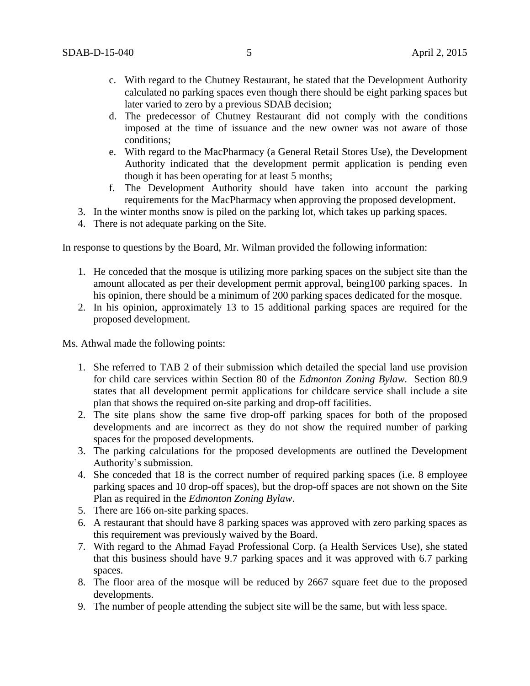- c. With regard to the Chutney Restaurant, he stated that the Development Authority calculated no parking spaces even though there should be eight parking spaces but later varied to zero by a previous SDAB decision;
- d. The predecessor of Chutney Restaurant did not comply with the conditions imposed at the time of issuance and the new owner was not aware of those conditions;
- e. With regard to the MacPharmacy (a General Retail Stores Use), the Development Authority indicated that the development permit application is pending even though it has been operating for at least 5 months;
- f. The Development Authority should have taken into account the parking requirements for the MacPharmacy when approving the proposed development.
- 3. In the winter months snow is piled on the parking lot, which takes up parking spaces.
- 4. There is not adequate parking on the Site.

In response to questions by the Board, Mr. Wilman provided the following information:

- 1. He conceded that the mosque is utilizing more parking spaces on the subject site than the amount allocated as per their development permit approval, being100 parking spaces. In his opinion, there should be a minimum of 200 parking spaces dedicated for the mosque.
- 2. In his opinion, approximately 13 to 15 additional parking spaces are required for the proposed development.

Ms. Athwal made the following points:

- 1. She referred to TAB 2 of their submission which detailed the special land use provision for child care services within Section 80 of the *Edmonton Zoning Bylaw*. Section 80.9 states that all development permit applications for childcare service shall include a site plan that shows the required on-site parking and drop-off facilities.
- 2. The site plans show the same five drop-off parking spaces for both of the proposed developments and are incorrect as they do not show the required number of parking spaces for the proposed developments.
- 3. The parking calculations for the proposed developments are outlined the Development Authority's submission.
- 4. She conceded that 18 is the correct number of required parking spaces (i.e. 8 employee parking spaces and 10 drop-off spaces), but the drop-off spaces are not shown on the Site Plan as required in the *Edmonton Zoning Bylaw*.
- 5. There are 166 on-site parking spaces.
- 6. A restaurant that should have 8 parking spaces was approved with zero parking spaces as this requirement was previously waived by the Board.
- 7. With regard to the Ahmad Fayad Professional Corp. (a Health Services Use), she stated that this business should have 9.7 parking spaces and it was approved with 6.7 parking spaces.
- 8. The floor area of the mosque will be reduced by 2667 square feet due to the proposed developments.
- 9. The number of people attending the subject site will be the same, but with less space.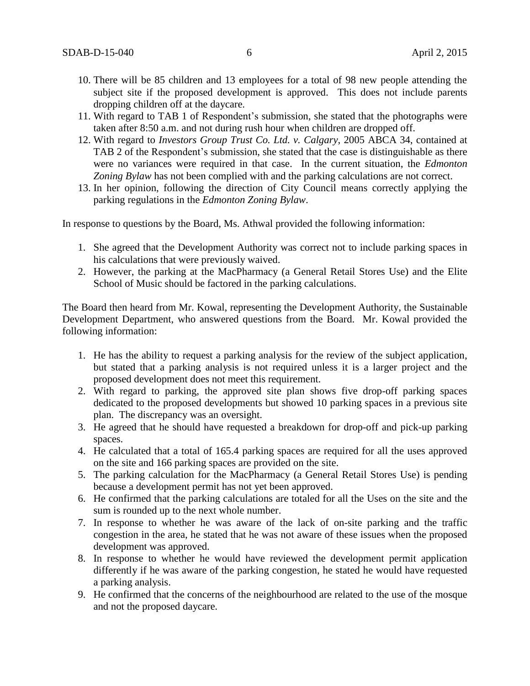- 10. There will be 85 children and 13 employees for a total of 98 new people attending the subject site if the proposed development is approved. This does not include parents dropping children off at the daycare.
- 11. With regard to TAB 1 of Respondent's submission, she stated that the photographs were taken after 8:50 a.m. and not during rush hour when children are dropped off.
- 12. With regard to *Investors Group Trust Co. Ltd. v. Calgary*, 2005 ABCA 34, contained at TAB 2 of the Respondent's submission, she stated that the case is distinguishable as there were no variances were required in that case. In the current situation, the *Edmonton Zoning Bylaw* has not been complied with and the parking calculations are not correct.
- 13. In her opinion, following the direction of City Council means correctly applying the parking regulations in the *Edmonton Zoning Bylaw*.

In response to questions by the Board, Ms. Athwal provided the following information:

- 1. She agreed that the Development Authority was correct not to include parking spaces in his calculations that were previously waived.
- 2. However, the parking at the MacPharmacy (a General Retail Stores Use) and the Elite School of Music should be factored in the parking calculations.

The Board then heard from Mr. Kowal, representing the Development Authority, the Sustainable Development Department, who answered questions from the Board. Mr. Kowal provided the following information:

- 1. He has the ability to request a parking analysis for the review of the subject application, but stated that a parking analysis is not required unless it is a larger project and the proposed development does not meet this requirement.
- 2. With regard to parking, the approved site plan shows five drop-off parking spaces dedicated to the proposed developments but showed 10 parking spaces in a previous site plan. The discrepancy was an oversight.
- 3. He agreed that he should have requested a breakdown for drop-off and pick-up parking spaces.
- 4. He calculated that a total of 165.4 parking spaces are required for all the uses approved on the site and 166 parking spaces are provided on the site.
- 5. The parking calculation for the MacPharmacy (a General Retail Stores Use) is pending because a development permit has not yet been approved.
- 6. He confirmed that the parking calculations are totaled for all the Uses on the site and the sum is rounded up to the next whole number.
- 7. In response to whether he was aware of the lack of on-site parking and the traffic congestion in the area, he stated that he was not aware of these issues when the proposed development was approved.
- 8. In response to whether he would have reviewed the development permit application differently if he was aware of the parking congestion, he stated he would have requested a parking analysis.
- 9. He confirmed that the concerns of the neighbourhood are related to the use of the mosque and not the proposed daycare.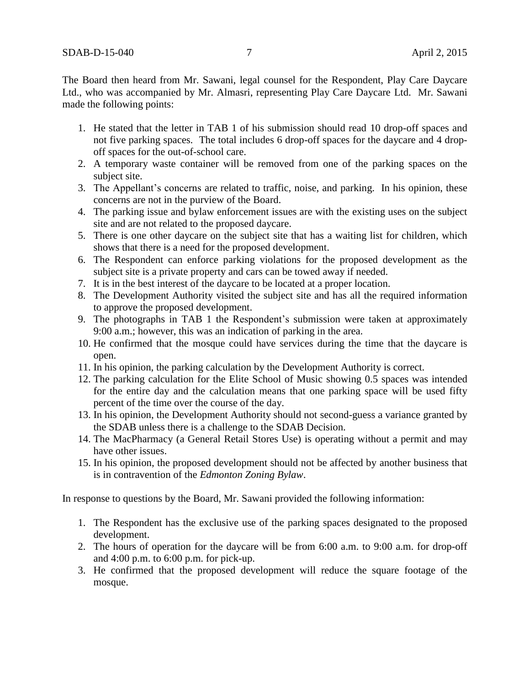The Board then heard from Mr. Sawani, legal counsel for the Respondent, Play Care Daycare Ltd., who was accompanied by Mr. Almasri, representing Play Care Daycare Ltd. Mr. Sawani made the following points:

- 1. He stated that the letter in TAB 1 of his submission should read 10 drop-off spaces and not five parking spaces. The total includes 6 drop-off spaces for the daycare and 4 dropoff spaces for the out-of-school care.
- 2. A temporary waste container will be removed from one of the parking spaces on the subject site.
- 3. The Appellant's concerns are related to traffic, noise, and parking. In his opinion, these concerns are not in the purview of the Board.
- 4. The parking issue and bylaw enforcement issues are with the existing uses on the subject site and are not related to the proposed daycare.
- 5. There is one other daycare on the subject site that has a waiting list for children, which shows that there is a need for the proposed development.
- 6. The Respondent can enforce parking violations for the proposed development as the subject site is a private property and cars can be towed away if needed.
- 7. It is in the best interest of the daycare to be located at a proper location.
- 8. The Development Authority visited the subject site and has all the required information to approve the proposed development.
- 9. The photographs in TAB 1 the Respondent's submission were taken at approximately 9:00 a.m.; however, this was an indication of parking in the area.
- 10. He confirmed that the mosque could have services during the time that the daycare is open.
- 11. In his opinion, the parking calculation by the Development Authority is correct.
- 12. The parking calculation for the Elite School of Music showing 0.5 spaces was intended for the entire day and the calculation means that one parking space will be used fifty percent of the time over the course of the day.
- 13. In his opinion, the Development Authority should not second-guess a variance granted by the SDAB unless there is a challenge to the SDAB Decision.
- 14. The MacPharmacy (a General Retail Stores Use) is operating without a permit and may have other issues.
- 15. In his opinion, the proposed development should not be affected by another business that is in contravention of the *Edmonton Zoning Bylaw*.

In response to questions by the Board, Mr. Sawani provided the following information:

- 1. The Respondent has the exclusive use of the parking spaces designated to the proposed development.
- 2. The hours of operation for the daycare will be from 6:00 a.m. to 9:00 a.m. for drop-off and 4:00 p.m. to 6:00 p.m. for pick-up.
- 3. He confirmed that the proposed development will reduce the square footage of the mosque.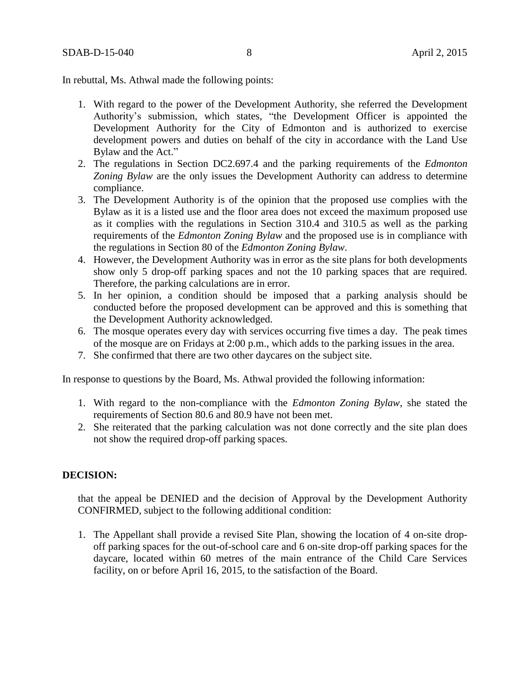In rebuttal, Ms. Athwal made the following points:

- 1. With regard to the power of the Development Authority, she referred the Development Authority's submission, which states, "the Development Officer is appointed the Development Authority for the City of Edmonton and is authorized to exercise development powers and duties on behalf of the city in accordance with the Land Use Bylaw and the Act."
- 2. The regulations in Section DC2.697.4 and the parking requirements of the *Edmonton Zoning Bylaw* are the only issues the Development Authority can address to determine compliance.
- 3. The Development Authority is of the opinion that the proposed use complies with the Bylaw as it is a listed use and the floor area does not exceed the maximum proposed use as it complies with the regulations in Section 310.4 and 310.5 as well as the parking requirements of the *Edmonton Zoning Bylaw* and the proposed use is in compliance with the regulations in Section 80 of the *Edmonton Zoning Bylaw*.
- 4. However, the Development Authority was in error as the site plans for both developments show only 5 drop-off parking spaces and not the 10 parking spaces that are required. Therefore, the parking calculations are in error.
- 5. In her opinion, a condition should be imposed that a parking analysis should be conducted before the proposed development can be approved and this is something that the Development Authority acknowledged.
- 6. The mosque operates every day with services occurring five times a day. The peak times of the mosque are on Fridays at 2:00 p.m., which adds to the parking issues in the area.
- 7. She confirmed that there are two other daycares on the subject site.

In response to questions by the Board, Ms. Athwal provided the following information:

- 1. With regard to the non-compliance with the *Edmonton Zoning Bylaw*, she stated the requirements of Section 80.6 and 80.9 have not been met.
- 2. She reiterated that the parking calculation was not done correctly and the site plan does not show the required drop-off parking spaces.

## **DECISION:**

that the appeal be DENIED and the decision of Approval by the Development Authority CONFIRMED, subject to the following additional condition:

1. The Appellant shall provide a revised Site Plan, showing the location of 4 on-site dropoff parking spaces for the out-of-school care and 6 on-site drop-off parking spaces for the daycare, located within 60 metres of the main entrance of the Child Care Services facility, on or before April 16, 2015, to the satisfaction of the Board.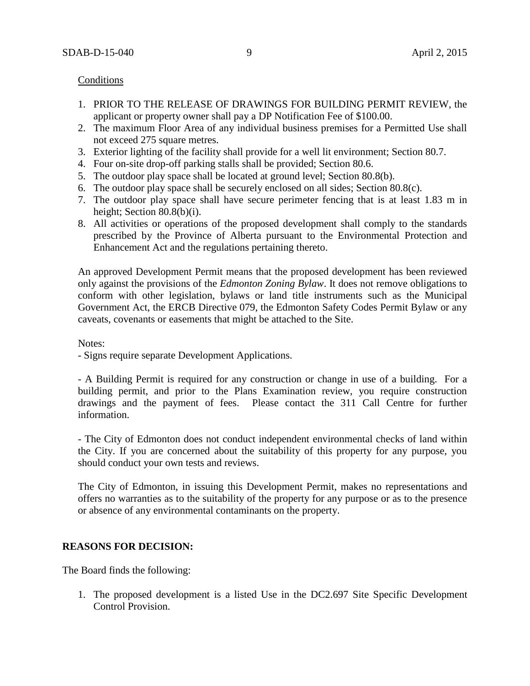#### **Conditions**

- 1. PRIOR TO THE RELEASE OF DRAWINGS FOR BUILDING PERMIT REVIEW, the applicant or property owner shall pay a DP Notification Fee of \$100.00.
- 2. The maximum Floor Area of any individual business premises for a Permitted Use shall not exceed 275 square metres.
- 3. Exterior lighting of the facility shall provide for a well lit environment; Section 80.7.
- 4. Four on-site drop-off parking stalls shall be provided; Section 80.6.
- 5. The outdoor play space shall be located at ground level; Section 80.8(b).
- 6. The outdoor play space shall be securely enclosed on all sides; Section 80.8(c).
- 7. The outdoor play space shall have secure perimeter fencing that is at least 1.83 m in height; Section 80.8(b)(i).
- 8. All activities or operations of the proposed development shall comply to the standards prescribed by the Province of Alberta pursuant to the Environmental Protection and Enhancement Act and the regulations pertaining thereto.

An approved Development Permit means that the proposed development has been reviewed only against the provisions of the *Edmonton Zoning Bylaw*. It does not remove obligations to conform with other legislation, bylaws or land title instruments such as the Municipal Government Act, the ERCB Directive 079, the Edmonton Safety Codes Permit Bylaw or any caveats, covenants or easements that might be attached to the Site.

Notes:

- Signs require separate Development Applications.

- A Building Permit is required for any construction or change in use of a building. For a building permit, and prior to the Plans Examination review, you require construction drawings and the payment of fees. Please contact the 311 Call Centre for further information.

- The City of Edmonton does not conduct independent environmental checks of land within the City. If you are concerned about the suitability of this property for any purpose, you should conduct your own tests and reviews.

The City of Edmonton, in issuing this Development Permit, makes no representations and offers no warranties as to the suitability of the property for any purpose or as to the presence or absence of any environmental contaminants on the property.

## **REASONS FOR DECISION:**

The Board finds the following:

1. The proposed development is a listed Use in the DC2.697 Site Specific Development Control Provision.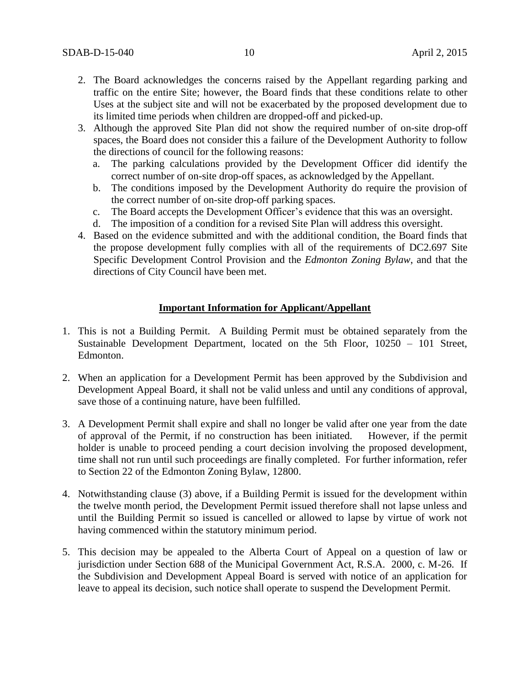- 2. The Board acknowledges the concerns raised by the Appellant regarding parking and traffic on the entire Site; however, the Board finds that these conditions relate to other Uses at the subject site and will not be exacerbated by the proposed development due to its limited time periods when children are dropped-off and picked-up.
- 3. Although the approved Site Plan did not show the required number of on-site drop-off spaces, the Board does not consider this a failure of the Development Authority to follow the directions of council for the following reasons:
	- a. The parking calculations provided by the Development Officer did identify the correct number of on-site drop-off spaces, as acknowledged by the Appellant.
	- b. The conditions imposed by the Development Authority do require the provision of the correct number of on-site drop-off parking spaces.
	- c. The Board accepts the Development Officer's evidence that this was an oversight.
	- d. The imposition of a condition for a revised Site Plan will address this oversight.
- 4. Based on the evidence submitted and with the additional condition, the Board finds that the propose development fully complies with all of the requirements of DC2.697 Site Specific Development Control Provision and the *Edmonton Zoning Bylaw*, and that the directions of City Council have been met.

#### **Important Information for Applicant/Appellant**

- 1. This is not a Building Permit. A Building Permit must be obtained separately from the Sustainable Development Department, located on the 5th Floor, 10250 – 101 Street, Edmonton.
- 2. When an application for a Development Permit has been approved by the Subdivision and Development Appeal Board, it shall not be valid unless and until any conditions of approval, save those of a continuing nature, have been fulfilled.
- 3. A Development Permit shall expire and shall no longer be valid after one year from the date of approval of the Permit, if no construction has been initiated. However, if the permit holder is unable to proceed pending a court decision involving the proposed development, time shall not run until such proceedings are finally completed. For further information, refer to Section 22 of the Edmonton Zoning Bylaw, 12800.
- 4. Notwithstanding clause (3) above, if a Building Permit is issued for the development within the twelve month period, the Development Permit issued therefore shall not lapse unless and until the Building Permit so issued is cancelled or allowed to lapse by virtue of work not having commenced within the statutory minimum period.
- 5. This decision may be appealed to the Alberta Court of Appeal on a question of law or jurisdiction under Section 688 of the Municipal Government Act, R.S.A. 2000, c. M-26. If the Subdivision and Development Appeal Board is served with notice of an application for leave to appeal its decision, such notice shall operate to suspend the Development Permit.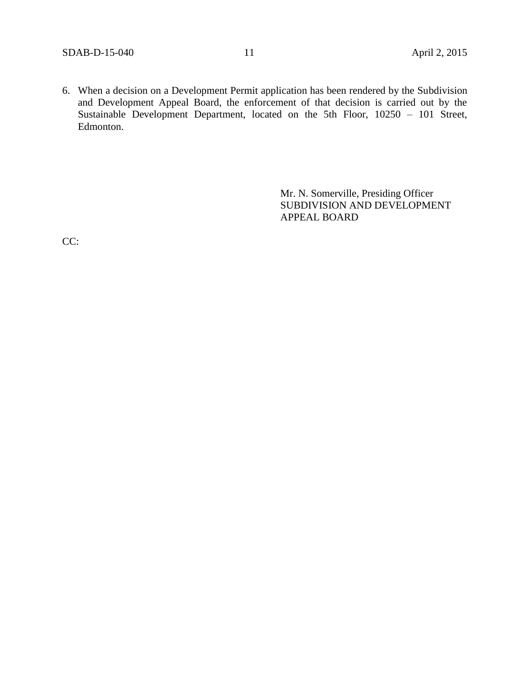6. When a decision on a Development Permit application has been rendered by the Subdivision and Development Appeal Board, the enforcement of that decision is carried out by the Sustainable Development Department, located on the 5th Floor, 10250 – 101 Street, Edmonton.

> Mr. N. Somerville, Presiding Officer SUBDIVISION AND DEVELOPMENT APPEAL BOARD

CC: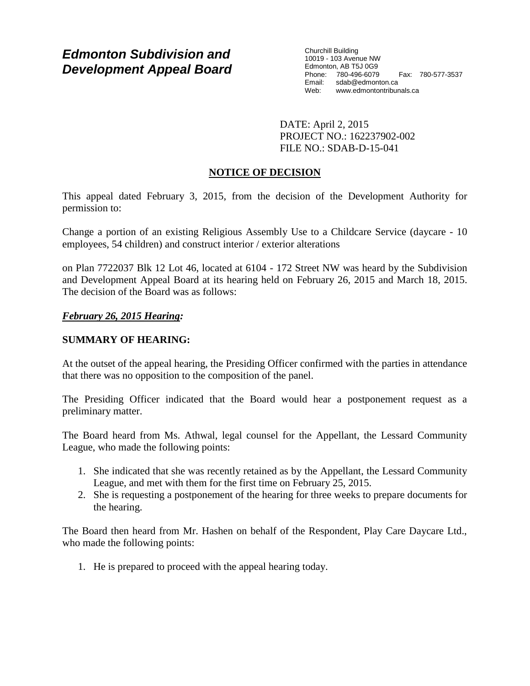# *Edmonton Subdivision and Development Appeal Board*

Churchill Building 10019 - 103 Avenue NW Edmonton, AB T5J 0G9 Phone: 780-496-6079 Fax: 780-577-3537 Email: sdab@edmonton.ca<br>Web: www.edmontontribur Web: www.edmontontribunals.ca

DATE: April 2, 2015 PROJECT NO.: 162237902-002 FILE NO.: SDAB-D-15-041

# **NOTICE OF DECISION**

This appeal dated February 3, 2015, from the decision of the Development Authority for permission to:

Change a portion of an existing Religious Assembly Use to a Childcare Service (daycare - 10 employees, 54 children) and construct interior / exterior alterations

on Plan 7722037 Blk 12 Lot 46, located at 6104 - 172 Street NW was heard by the Subdivision and Development Appeal Board at its hearing held on February 26, 2015 and March 18, 2015. The decision of the Board was as follows:

## *February 26, 2015 Hearing:*

## **SUMMARY OF HEARING:**

At the outset of the appeal hearing, the Presiding Officer confirmed with the parties in attendance that there was no opposition to the composition of the panel.

The Presiding Officer indicated that the Board would hear a postponement request as a preliminary matter.

The Board heard from Ms. Athwal, legal counsel for the Appellant, the Lessard Community League, who made the following points:

- 1. She indicated that she was recently retained as by the Appellant, the Lessard Community League, and met with them for the first time on February 25, 2015.
- 2. She is requesting a postponement of the hearing for three weeks to prepare documents for the hearing.

The Board then heard from Mr. Hashen on behalf of the Respondent, Play Care Daycare Ltd., who made the following points:

1. He is prepared to proceed with the appeal hearing today.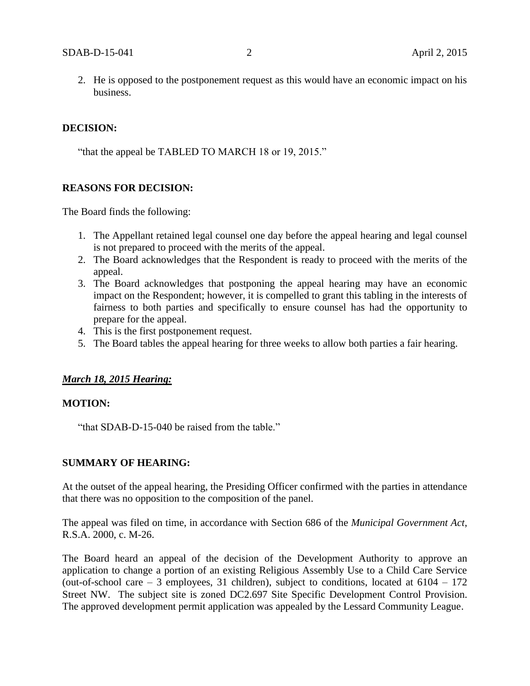2. He is opposed to the postponement request as this would have an economic impact on his business.

#### **DECISION:**

"that the appeal be TABLED TO MARCH 18 or 19, 2015."

#### **REASONS FOR DECISION:**

The Board finds the following:

- 1. The Appellant retained legal counsel one day before the appeal hearing and legal counsel is not prepared to proceed with the merits of the appeal.
- 2. The Board acknowledges that the Respondent is ready to proceed with the merits of the appeal.
- 3. The Board acknowledges that postponing the appeal hearing may have an economic impact on the Respondent; however, it is compelled to grant this tabling in the interests of fairness to both parties and specifically to ensure counsel has had the opportunity to prepare for the appeal.
- 4. This is the first postponement request.
- 5. The Board tables the appeal hearing for three weeks to allow both parties a fair hearing.

#### *March 18, 2015 Hearing:*

#### **MOTION:**

"that SDAB-D-15-040 be raised from the table."

#### **SUMMARY OF HEARING:**

At the outset of the appeal hearing, the Presiding Officer confirmed with the parties in attendance that there was no opposition to the composition of the panel.

The appeal was filed on time, in accordance with Section 686 of the *Municipal Government Act*, R.S.A. 2000, c. M-26.

The Board heard an appeal of the decision of the Development Authority to approve an application to change a portion of an existing Religious Assembly Use to a Child Care Service (out-of-school care  $-3$  employees, 31 children), subject to conditions, located at  $6104 - 172$ Street NW. The subject site is zoned DC2.697 Site Specific Development Control Provision. The approved development permit application was appealed by the Lessard Community League.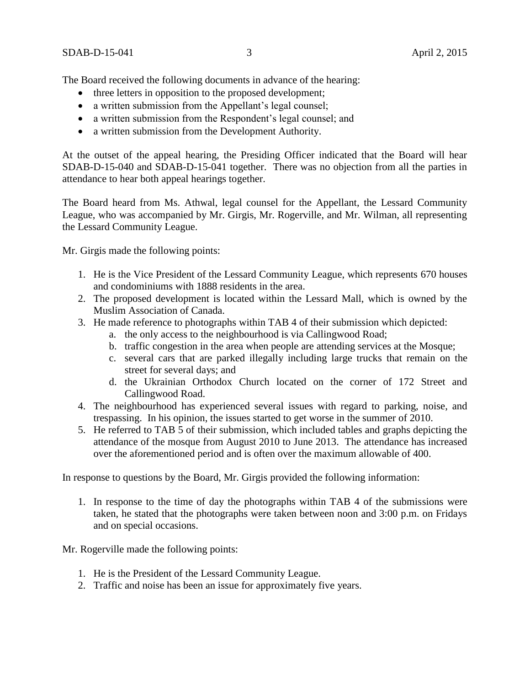The Board received the following documents in advance of the hearing:

- three letters in opposition to the proposed development;
- a written submission from the Appellant's legal counsel;
- a written submission from the Respondent's legal counsel; and
- a written submission from the Development Authority.

At the outset of the appeal hearing, the Presiding Officer indicated that the Board will hear SDAB-D-15-040 and SDAB-D-15-041 together. There was no objection from all the parties in attendance to hear both appeal hearings together.

The Board heard from Ms. Athwal, legal counsel for the Appellant, the Lessard Community League, who was accompanied by Mr. Girgis, Mr. Rogerville, and Mr. Wilman, all representing the Lessard Community League.

Mr. Girgis made the following points:

- 1. He is the Vice President of the Lessard Community League, which represents 670 houses and condominiums with 1888 residents in the area.
- 2. The proposed development is located within the Lessard Mall, which is owned by the Muslim Association of Canada.
- 3. He made reference to photographs within TAB 4 of their submission which depicted:
	- a. the only access to the neighbourhood is via Callingwood Road;
	- b. traffic congestion in the area when people are attending services at the Mosque;
	- c. several cars that are parked illegally including large trucks that remain on the street for several days; and
	- d. the Ukrainian Orthodox Church located on the corner of 172 Street and Callingwood Road.
- 4. The neighbourhood has experienced several issues with regard to parking, noise, and trespassing. In his opinion, the issues started to get worse in the summer of 2010.
- 5. He referred to TAB 5 of their submission, which included tables and graphs depicting the attendance of the mosque from August 2010 to June 2013. The attendance has increased over the aforementioned period and is often over the maximum allowable of 400.

In response to questions by the Board, Mr. Girgis provided the following information:

1. In response to the time of day the photographs within TAB 4 of the submissions were taken, he stated that the photographs were taken between noon and 3:00 p.m. on Fridays and on special occasions.

Mr. Rogerville made the following points:

- 1. He is the President of the Lessard Community League.
- 2. Traffic and noise has been an issue for approximately five years.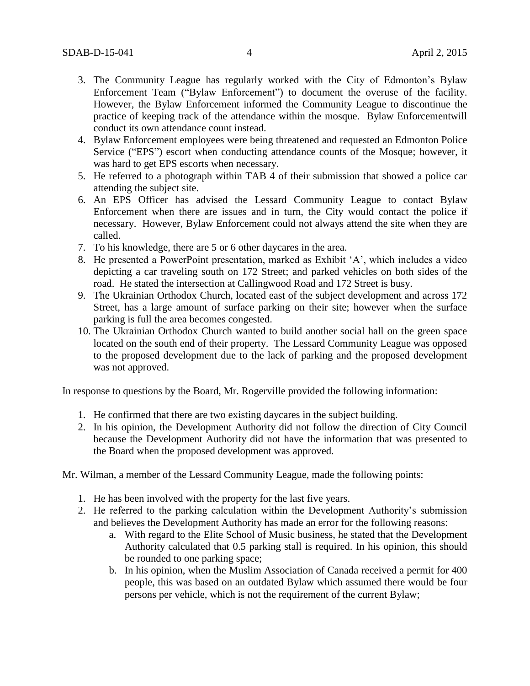- 3. The Community League has regularly worked with the City of Edmonton's Bylaw Enforcement Team ("Bylaw Enforcement") to document the overuse of the facility. However, the Bylaw Enforcement informed the Community League to discontinue the practice of keeping track of the attendance within the mosque. Bylaw Enforcementwill conduct its own attendance count instead.
- 4. Bylaw Enforcement employees were being threatened and requested an Edmonton Police Service ("EPS") escort when conducting attendance counts of the Mosque; however, it was hard to get EPS escorts when necessary.
- 5. He referred to a photograph within TAB 4 of their submission that showed a police car attending the subject site.
- 6. An EPS Officer has advised the Lessard Community League to contact Bylaw Enforcement when there are issues and in turn, the City would contact the police if necessary. However, Bylaw Enforcement could not always attend the site when they are called.
- 7. To his knowledge, there are 5 or 6 other daycares in the area.
- 8. He presented a PowerPoint presentation, marked as Exhibit 'A', which includes a video depicting a car traveling south on 172 Street; and parked vehicles on both sides of the road. He stated the intersection at Callingwood Road and 172 Street is busy.
- 9. The Ukrainian Orthodox Church, located east of the subject development and across 172 Street, has a large amount of surface parking on their site; however when the surface parking is full the area becomes congested.
- 10. The Ukrainian Orthodox Church wanted to build another social hall on the green space located on the south end of their property. The Lessard Community League was opposed to the proposed development due to the lack of parking and the proposed development was not approved.

In response to questions by the Board, Mr. Rogerville provided the following information:

- 1. He confirmed that there are two existing daycares in the subject building.
- 2. In his opinion, the Development Authority did not follow the direction of City Council because the Development Authority did not have the information that was presented to the Board when the proposed development was approved.

Mr. Wilman, a member of the Lessard Community League, made the following points:

- 1. He has been involved with the property for the last five years.
- 2. He referred to the parking calculation within the Development Authority's submission and believes the Development Authority has made an error for the following reasons:
	- a. With regard to the Elite School of Music business, he stated that the Development Authority calculated that 0.5 parking stall is required. In his opinion, this should be rounded to one parking space;
	- b. In his opinion, when the Muslim Association of Canada received a permit for 400 people, this was based on an outdated Bylaw which assumed there would be four persons per vehicle, which is not the requirement of the current Bylaw;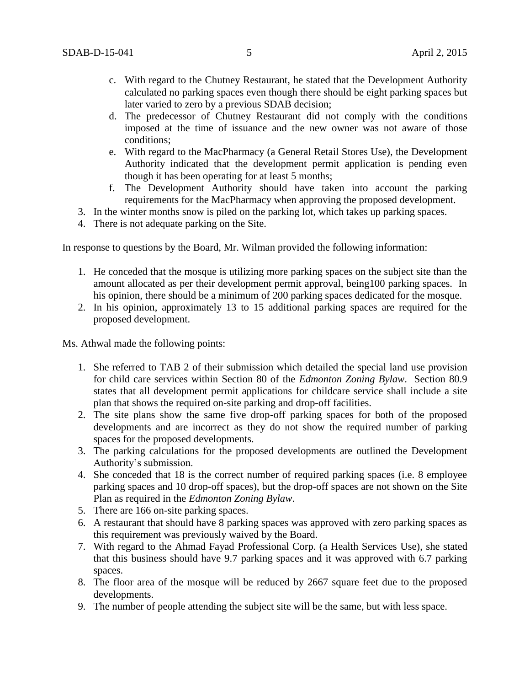- c. With regard to the Chutney Restaurant, he stated that the Development Authority calculated no parking spaces even though there should be eight parking spaces but later varied to zero by a previous SDAB decision;
- d. The predecessor of Chutney Restaurant did not comply with the conditions imposed at the time of issuance and the new owner was not aware of those conditions;
- e. With regard to the MacPharmacy (a General Retail Stores Use), the Development Authority indicated that the development permit application is pending even though it has been operating for at least 5 months;
- f. The Development Authority should have taken into account the parking requirements for the MacPharmacy when approving the proposed development.
- 3. In the winter months snow is piled on the parking lot, which takes up parking spaces.
- 4. There is not adequate parking on the Site.

In response to questions by the Board, Mr. Wilman provided the following information:

- 1. He conceded that the mosque is utilizing more parking spaces on the subject site than the amount allocated as per their development permit approval, being100 parking spaces. In his opinion, there should be a minimum of 200 parking spaces dedicated for the mosque.
- 2. In his opinion, approximately 13 to 15 additional parking spaces are required for the proposed development.

Ms. Athwal made the following points:

- 1. She referred to TAB 2 of their submission which detailed the special land use provision for child care services within Section 80 of the *Edmonton Zoning Bylaw*. Section 80.9 states that all development permit applications for childcare service shall include a site plan that shows the required on-site parking and drop-off facilities.
- 2. The site plans show the same five drop-off parking spaces for both of the proposed developments and are incorrect as they do not show the required number of parking spaces for the proposed developments.
- 3. The parking calculations for the proposed developments are outlined the Development Authority's submission.
- 4. She conceded that 18 is the correct number of required parking spaces (i.e. 8 employee parking spaces and 10 drop-off spaces), but the drop-off spaces are not shown on the Site Plan as required in the *Edmonton Zoning Bylaw*.
- 5. There are 166 on-site parking spaces.
- 6. A restaurant that should have 8 parking spaces was approved with zero parking spaces as this requirement was previously waived by the Board.
- 7. With regard to the Ahmad Fayad Professional Corp. (a Health Services Use), she stated that this business should have 9.7 parking spaces and it was approved with 6.7 parking spaces.
- 8. The floor area of the mosque will be reduced by 2667 square feet due to the proposed developments.
- 9. The number of people attending the subject site will be the same, but with less space.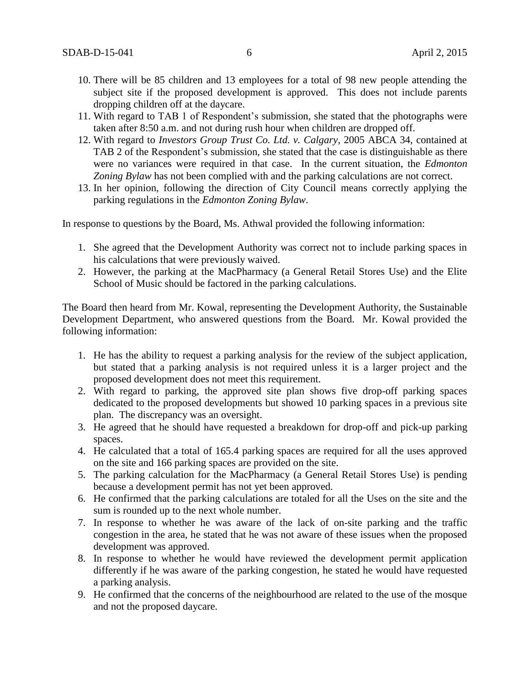- 10. There will be 85 children and 13 employees for a total of 98 new people attending the subject site if the proposed development is approved. This does not include parents dropping children off at the daycare.
- 11. With regard to TAB 1 of Respondent's submission, she stated that the photographs were taken after 8:50 a.m. and not during rush hour when children are dropped off.
- 12. With regard to *Investors Group Trust Co. Ltd. v. Calgary*, 2005 ABCA 34, contained at TAB 2 of the Respondent's submission, she stated that the case is distinguishable as there were no variances were required in that case. In the current situation, the *Edmonton Zoning Bylaw* has not been complied with and the parking calculations are not correct.
- 13. In her opinion, following the direction of City Council means correctly applying the parking regulations in the *Edmonton Zoning Bylaw*.

In response to questions by the Board, Ms. Athwal provided the following information:

- 1. She agreed that the Development Authority was correct not to include parking spaces in his calculations that were previously waived.
- 2. However, the parking at the MacPharmacy (a General Retail Stores Use) and the Elite School of Music should be factored in the parking calculations.

The Board then heard from Mr. Kowal, representing the Development Authority, the Sustainable Development Department, who answered questions from the Board. Mr. Kowal provided the following information:

- 1. He has the ability to request a parking analysis for the review of the subject application, but stated that a parking analysis is not required unless it is a larger project and the proposed development does not meet this requirement.
- 2. With regard to parking, the approved site plan shows five drop-off parking spaces dedicated to the proposed developments but showed 10 parking spaces in a previous site plan. The discrepancy was an oversight.
- 3. He agreed that he should have requested a breakdown for drop-off and pick-up parking spaces.
- 4. He calculated that a total of 165.4 parking spaces are required for all the uses approved on the site and 166 parking spaces are provided on the site.
- 5. The parking calculation for the MacPharmacy (a General Retail Stores Use) is pending because a development permit has not yet been approved.
- 6. He confirmed that the parking calculations are totaled for all the Uses on the site and the sum is rounded up to the next whole number.
- 7. In response to whether he was aware of the lack of on-site parking and the traffic congestion in the area, he stated that he was not aware of these issues when the proposed development was approved.
- 8. In response to whether he would have reviewed the development permit application differently if he was aware of the parking congestion, he stated he would have requested a parking analysis.
- 9. He confirmed that the concerns of the neighbourhood are related to the use of the mosque and not the proposed daycare.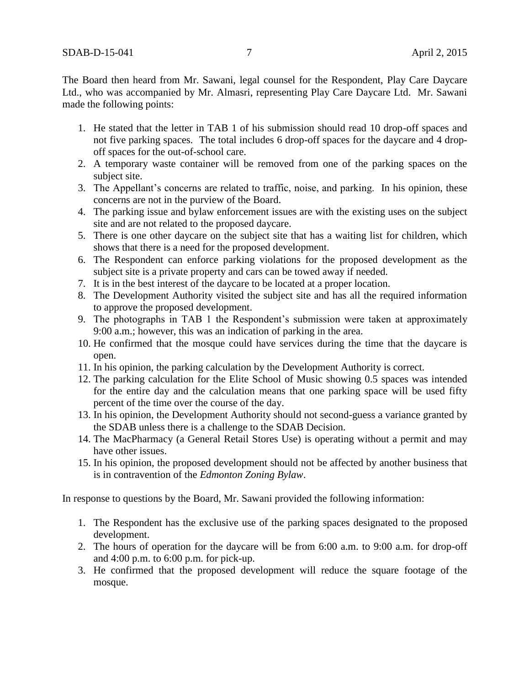The Board then heard from Mr. Sawani, legal counsel for the Respondent, Play Care Daycare Ltd., who was accompanied by Mr. Almasri, representing Play Care Daycare Ltd. Mr. Sawani made the following points:

- 1. He stated that the letter in TAB 1 of his submission should read 10 drop-off spaces and not five parking spaces. The total includes 6 drop-off spaces for the daycare and 4 dropoff spaces for the out-of-school care.
- 2. A temporary waste container will be removed from one of the parking spaces on the subject site.
- 3. The Appellant's concerns are related to traffic, noise, and parking. In his opinion, these concerns are not in the purview of the Board.
- 4. The parking issue and bylaw enforcement issues are with the existing uses on the subject site and are not related to the proposed daycare.
- 5. There is one other daycare on the subject site that has a waiting list for children, which shows that there is a need for the proposed development.
- 6. The Respondent can enforce parking violations for the proposed development as the subject site is a private property and cars can be towed away if needed.
- 7. It is in the best interest of the daycare to be located at a proper location.
- 8. The Development Authority visited the subject site and has all the required information to approve the proposed development.
- 9. The photographs in TAB 1 the Respondent's submission were taken at approximately 9:00 a.m.; however, this was an indication of parking in the area.
- 10. He confirmed that the mosque could have services during the time that the daycare is open.
- 11. In his opinion, the parking calculation by the Development Authority is correct.
- 12. The parking calculation for the Elite School of Music showing 0.5 spaces was intended for the entire day and the calculation means that one parking space will be used fifty percent of the time over the course of the day.
- 13. In his opinion, the Development Authority should not second-guess a variance granted by the SDAB unless there is a challenge to the SDAB Decision.
- 14. The MacPharmacy (a General Retail Stores Use) is operating without a permit and may have other issues.
- 15. In his opinion, the proposed development should not be affected by another business that is in contravention of the *Edmonton Zoning Bylaw*.

In response to questions by the Board, Mr. Sawani provided the following information:

- 1. The Respondent has the exclusive use of the parking spaces designated to the proposed development.
- 2. The hours of operation for the daycare will be from 6:00 a.m. to 9:00 a.m. for drop-off and 4:00 p.m. to 6:00 p.m. for pick-up.
- 3. He confirmed that the proposed development will reduce the square footage of the mosque.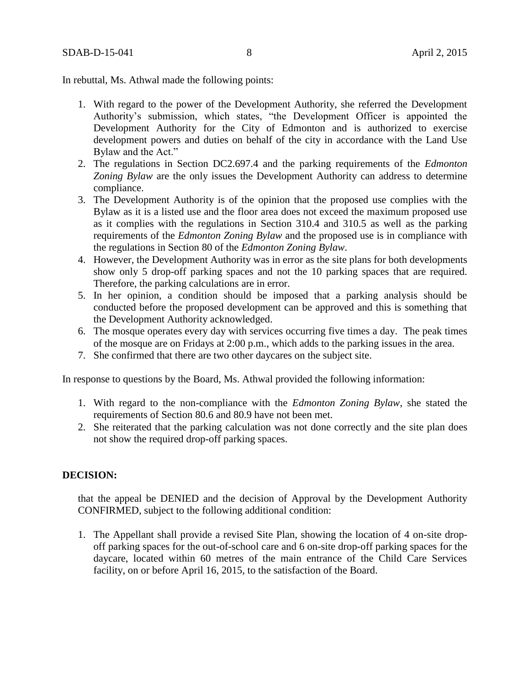In rebuttal, Ms. Athwal made the following points:

- 1. With regard to the power of the Development Authority, she referred the Development Authority's submission, which states, "the Development Officer is appointed the Development Authority for the City of Edmonton and is authorized to exercise development powers and duties on behalf of the city in accordance with the Land Use Bylaw and the Act."
- 2. The regulations in Section DC2.697.4 and the parking requirements of the *Edmonton Zoning Bylaw* are the only issues the Development Authority can address to determine compliance.
- 3. The Development Authority is of the opinion that the proposed use complies with the Bylaw as it is a listed use and the floor area does not exceed the maximum proposed use as it complies with the regulations in Section 310.4 and 310.5 as well as the parking requirements of the *Edmonton Zoning Bylaw* and the proposed use is in compliance with the regulations in Section 80 of the *Edmonton Zoning Bylaw*.
- 4. However, the Development Authority was in error as the site plans for both developments show only 5 drop-off parking spaces and not the 10 parking spaces that are required. Therefore, the parking calculations are in error.
- 5. In her opinion, a condition should be imposed that a parking analysis should be conducted before the proposed development can be approved and this is something that the Development Authority acknowledged.
- 6. The mosque operates every day with services occurring five times a day. The peak times of the mosque are on Fridays at 2:00 p.m., which adds to the parking issues in the area.
- 7. She confirmed that there are two other daycares on the subject site.

In response to questions by the Board, Ms. Athwal provided the following information:

- 1. With regard to the non-compliance with the *Edmonton Zoning Bylaw*, she stated the requirements of Section 80.6 and 80.9 have not been met.
- 2. She reiterated that the parking calculation was not done correctly and the site plan does not show the required drop-off parking spaces.

## **DECISION:**

that the appeal be DENIED and the decision of Approval by the Development Authority CONFIRMED, subject to the following additional condition:

1. The Appellant shall provide a revised Site Plan, showing the location of 4 on-site dropoff parking spaces for the out-of-school care and 6 on-site drop-off parking spaces for the daycare, located within 60 metres of the main entrance of the Child Care Services facility, on or before April 16, 2015, to the satisfaction of the Board.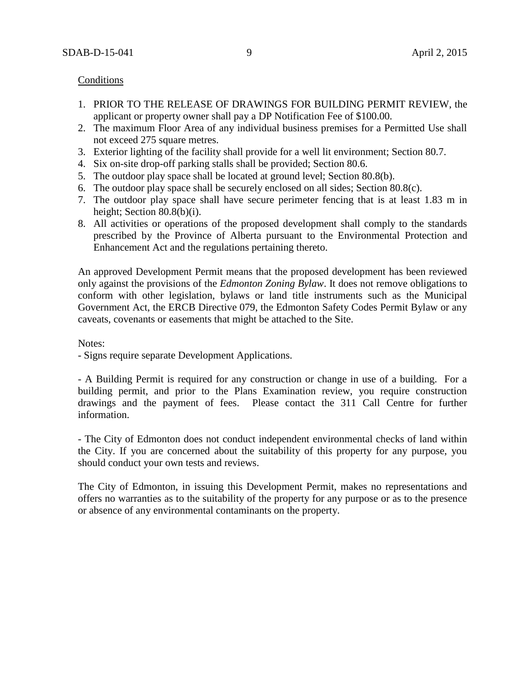#### **Conditions**

- 1. PRIOR TO THE RELEASE OF DRAWINGS FOR BUILDING PERMIT REVIEW, the applicant or property owner shall pay a DP Notification Fee of \$100.00.
- 2. The maximum Floor Area of any individual business premises for a Permitted Use shall not exceed 275 square metres.
- 3. Exterior lighting of the facility shall provide for a well lit environment; Section 80.7.
- 4. Six on-site drop-off parking stalls shall be provided; Section 80.6.
- 5. The outdoor play space shall be located at ground level; Section 80.8(b).
- 6. The outdoor play space shall be securely enclosed on all sides; Section 80.8(c).
- 7. The outdoor play space shall have secure perimeter fencing that is at least 1.83 m in height; Section 80.8(b)(i).
- 8. All activities or operations of the proposed development shall comply to the standards prescribed by the Province of Alberta pursuant to the Environmental Protection and Enhancement Act and the regulations pertaining thereto.

An approved Development Permit means that the proposed development has been reviewed only against the provisions of the *Edmonton Zoning Bylaw*. It does not remove obligations to conform with other legislation, bylaws or land title instruments such as the Municipal Government Act, the ERCB Directive 079, the Edmonton Safety Codes Permit Bylaw or any caveats, covenants or easements that might be attached to the Site.

Notes:

- Signs require separate Development Applications.

- A Building Permit is required for any construction or change in use of a building. For a building permit, and prior to the Plans Examination review, you require construction drawings and the payment of fees. Please contact the 311 Call Centre for further information.

- The City of Edmonton does not conduct independent environmental checks of land within the City. If you are concerned about the suitability of this property for any purpose, you should conduct your own tests and reviews.

The City of Edmonton, in issuing this Development Permit, makes no representations and offers no warranties as to the suitability of the property for any purpose or as to the presence or absence of any environmental contaminants on the property.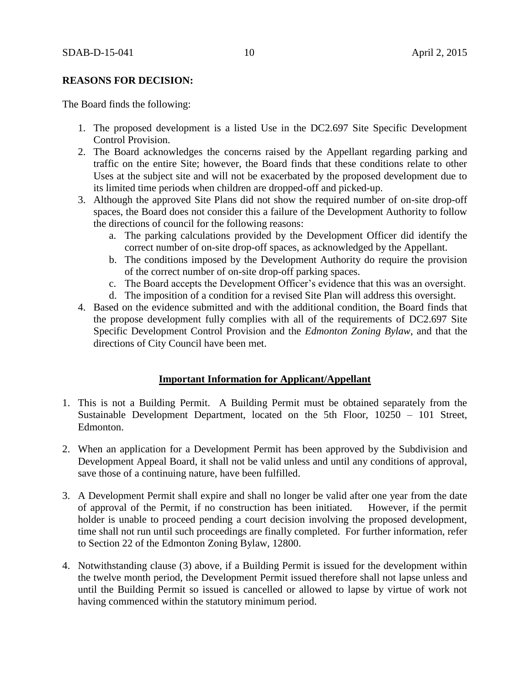## **REASONS FOR DECISION:**

The Board finds the following:

- 1. The proposed development is a listed Use in the DC2.697 Site Specific Development Control Provision.
- 2. The Board acknowledges the concerns raised by the Appellant regarding parking and traffic on the entire Site; however, the Board finds that these conditions relate to other Uses at the subject site and will not be exacerbated by the proposed development due to its limited time periods when children are dropped-off and picked-up.
- 3. Although the approved Site Plans did not show the required number of on-site drop-off spaces, the Board does not consider this a failure of the Development Authority to follow the directions of council for the following reasons:
	- a. The parking calculations provided by the Development Officer did identify the correct number of on-site drop-off spaces, as acknowledged by the Appellant.
	- b. The conditions imposed by the Development Authority do require the provision of the correct number of on-site drop-off parking spaces.
	- c. The Board accepts the Development Officer's evidence that this was an oversight.
	- d. The imposition of a condition for a revised Site Plan will address this oversight.
- 4. Based on the evidence submitted and with the additional condition, the Board finds that the propose development fully complies with all of the requirements of DC2.697 Site Specific Development Control Provision and the *Edmonton Zoning Bylaw*, and that the directions of City Council have been met.

## **Important Information for Applicant/Appellant**

- 1. This is not a Building Permit. A Building Permit must be obtained separately from the Sustainable Development Department, located on the 5th Floor, 10250 – 101 Street, Edmonton.
- 2. When an application for a Development Permit has been approved by the Subdivision and Development Appeal Board, it shall not be valid unless and until any conditions of approval, save those of a continuing nature, have been fulfilled.
- 3. A Development Permit shall expire and shall no longer be valid after one year from the date of approval of the Permit, if no construction has been initiated. However, if the permit holder is unable to proceed pending a court decision involving the proposed development, time shall not run until such proceedings are finally completed. For further information, refer to Section 22 of the Edmonton Zoning Bylaw, 12800.
- 4. Notwithstanding clause (3) above, if a Building Permit is issued for the development within the twelve month period, the Development Permit issued therefore shall not lapse unless and until the Building Permit so issued is cancelled or allowed to lapse by virtue of work not having commenced within the statutory minimum period.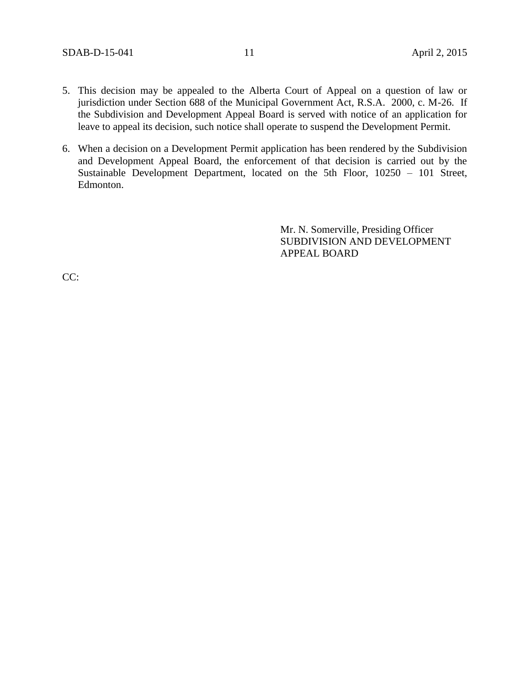- 5. This decision may be appealed to the Alberta Court of Appeal on a question of law or jurisdiction under Section 688 of the Municipal Government Act, R.S.A. 2000, c. M-26. If the Subdivision and Development Appeal Board is served with notice of an application for leave to appeal its decision, such notice shall operate to suspend the Development Permit.
- 6. When a decision on a Development Permit application has been rendered by the Subdivision and Development Appeal Board, the enforcement of that decision is carried out by the Sustainable Development Department, located on the 5th Floor, 10250 – 101 Street, Edmonton.

Mr. N. Somerville, Presiding Officer SUBDIVISION AND DEVELOPMENT APPEAL BOARD

CC: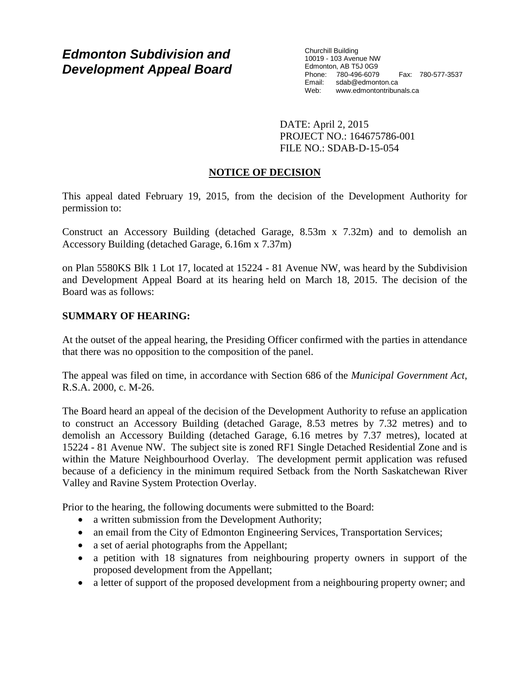# *Edmonton Subdivision and Development Appeal Board*

Churchill Building 10019 - 103 Avenue NW Edmonton, AB T5J 0G9 Phone: 780-496-6079 Fax: 780-577-3537 Email: sdab@edmonton.ca<br>Web: www.edmontontribur Web: www.edmontontribunals.ca

DATE: April 2, 2015 PROJECT NO.: 164675786-001 FILE NO.: SDAB-D-15-054

# **NOTICE OF DECISION**

This appeal dated February 19, 2015, from the decision of the Development Authority for permission to:

Construct an Accessory Building (detached Garage, 8.53m x 7.32m) and to demolish an Accessory Building (detached Garage, 6.16m x 7.37m)

on Plan 5580KS Blk 1 Lot 17, located at 15224 - 81 Avenue NW, was heard by the Subdivision and Development Appeal Board at its hearing held on March 18, 2015. The decision of the Board was as follows:

## **SUMMARY OF HEARING:**

At the outset of the appeal hearing, the Presiding Officer confirmed with the parties in attendance that there was no opposition to the composition of the panel.

The appeal was filed on time, in accordance with Section 686 of the *Municipal Government Act*, R.S.A. 2000, c. M-26.

The Board heard an appeal of the decision of the Development Authority to refuse an application to construct an Accessory Building (detached Garage, 8.53 metres by 7.32 metres) and to demolish an Accessory Building (detached Garage, 6.16 metres by 7.37 metres), located at 15224 - 81 Avenue NW. The subject site is zoned RF1 Single Detached Residential Zone and is within the Mature Neighbourhood Overlay. The development permit application was refused because of a deficiency in the minimum required Setback from the North Saskatchewan River Valley and Ravine System Protection Overlay.

Prior to the hearing, the following documents were submitted to the Board:

- a written submission from the Development Authority;
- an email from the City of Edmonton Engineering Services, Transportation Services;
- a set of aerial photographs from the Appellant;
- a petition with 18 signatures from neighbouring property owners in support of the proposed development from the Appellant;
- a letter of support of the proposed development from a neighbouring property owner; and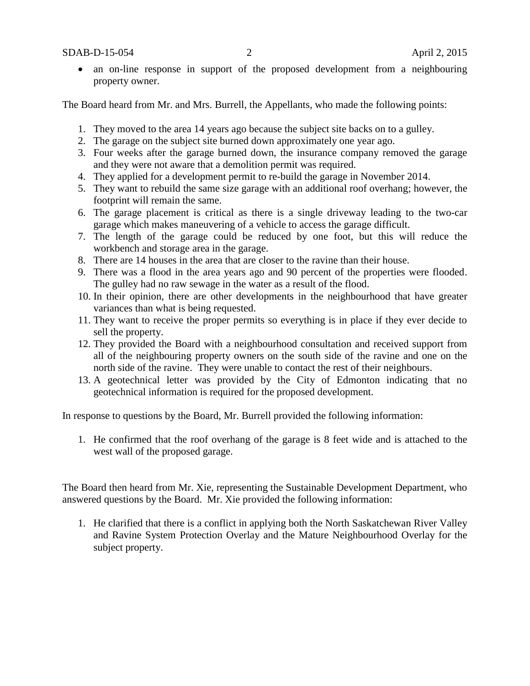SDAB-D-15-054 2 April 2, 2015

 an on-line response in support of the proposed development from a neighbouring property owner.

The Board heard from Mr. and Mrs. Burrell, the Appellants, who made the following points:

- 1. They moved to the area 14 years ago because the subject site backs on to a gulley.
- 2. The garage on the subject site burned down approximately one year ago.
- 3. Four weeks after the garage burned down, the insurance company removed the garage and they were not aware that a demolition permit was required.
- 4. They applied for a development permit to re-build the garage in November 2014.
- 5. They want to rebuild the same size garage with an additional roof overhang; however, the footprint will remain the same.
- 6. The garage placement is critical as there is a single driveway leading to the two-car garage which makes maneuvering of a vehicle to access the garage difficult.
- 7. The length of the garage could be reduced by one foot, but this will reduce the workbench and storage area in the garage.
- 8. There are 14 houses in the area that are closer to the ravine than their house.
- 9. There was a flood in the area years ago and 90 percent of the properties were flooded. The gulley had no raw sewage in the water as a result of the flood.
- 10. In their opinion, there are other developments in the neighbourhood that have greater variances than what is being requested.
- 11. They want to receive the proper permits so everything is in place if they ever decide to sell the property.
- 12. They provided the Board with a neighbourhood consultation and received support from all of the neighbouring property owners on the south side of the ravine and one on the north side of the ravine. They were unable to contact the rest of their neighbours.
- 13. A geotechnical letter was provided by the City of Edmonton indicating that no geotechnical information is required for the proposed development.

In response to questions by the Board, Mr. Burrell provided the following information:

1. He confirmed that the roof overhang of the garage is 8 feet wide and is attached to the west wall of the proposed garage.

The Board then heard from Mr. Xie, representing the Sustainable Development Department, who answered questions by the Board. Mr. Xie provided the following information:

1. He clarified that there is a conflict in applying both the North Saskatchewan River Valley and Ravine System Protection Overlay and the Mature Neighbourhood Overlay for the subject property.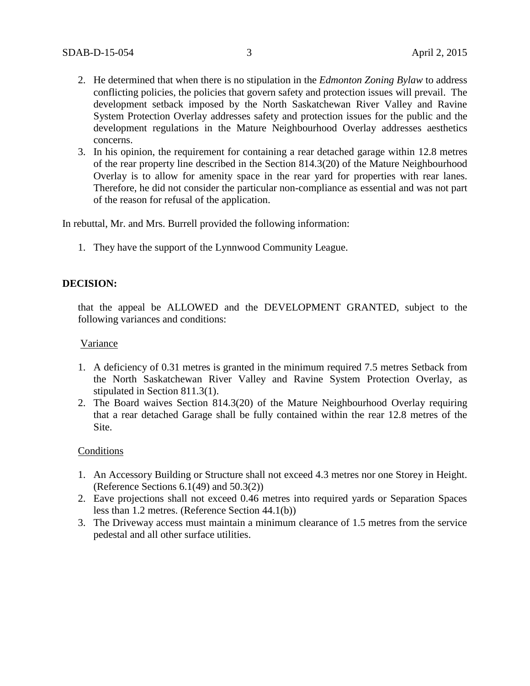- 2. He determined that when there is no stipulation in the *Edmonton Zoning Bylaw* to address conflicting policies, the policies that govern safety and protection issues will prevail. The development setback imposed by the North Saskatchewan River Valley and Ravine System Protection Overlay addresses safety and protection issues for the public and the development regulations in the Mature Neighbourhood Overlay addresses aesthetics concerns.
- 3. In his opinion, the requirement for containing a rear detached garage within 12.8 metres of the rear property line described in the Section 814.3(20) of the Mature Neighbourhood Overlay is to allow for amenity space in the rear yard for properties with rear lanes. Therefore, he did not consider the particular non-compliance as essential and was not part of the reason for refusal of the application.

In rebuttal, Mr. and Mrs. Burrell provided the following information:

1. They have the support of the Lynnwood Community League.

#### **DECISION:**

that the appeal be ALLOWED and the DEVELOPMENT GRANTED, subject to the following variances and conditions:

#### Variance

- 1. A deficiency of 0.31 metres is granted in the minimum required 7.5 metres Setback from the North Saskatchewan River Valley and Ravine System Protection Overlay, as stipulated in Section 811.3(1).
- 2. The Board waives Section 814.3(20) of the Mature Neighbourhood Overlay requiring that a rear detached Garage shall be fully contained within the rear 12.8 metres of the Site.

#### Conditions

- 1. An Accessory Building or Structure shall not exceed 4.3 metres nor one Storey in Height. (Reference Sections  $6.1(49)$  and  $50.3(2)$ )
- 2. Eave projections shall not exceed 0.46 metres into required yards or Separation Spaces less than 1.2 metres. (Reference Section 44.1(b))
- 3. The Driveway access must maintain a minimum clearance of 1.5 metres from the service pedestal and all other surface utilities.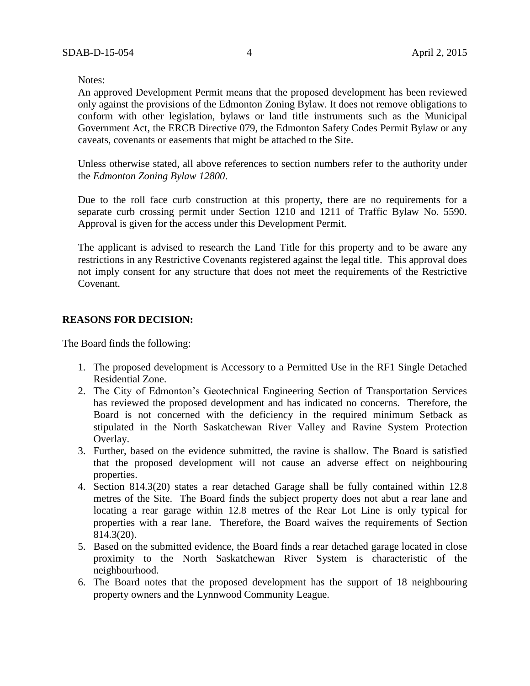Notes:

An approved Development Permit means that the proposed development has been reviewed only against the provisions of the Edmonton Zoning Bylaw. It does not remove obligations to conform with other legislation, bylaws or land title instruments such as the Municipal Government Act, the ERCB Directive 079, the Edmonton Safety Codes Permit Bylaw or any caveats, covenants or easements that might be attached to the Site.

Unless otherwise stated, all above references to section numbers refer to the authority under the *Edmonton Zoning Bylaw 12800*.

Due to the roll face curb construction at this property, there are no requirements for a separate curb crossing permit under Section 1210 and 1211 of Traffic Bylaw No. 5590. Approval is given for the access under this Development Permit.

The applicant is advised to research the Land Title for this property and to be aware any restrictions in any Restrictive Covenants registered against the legal title. This approval does not imply consent for any structure that does not meet the requirements of the Restrictive Covenant.

#### **REASONS FOR DECISION:**

The Board finds the following:

- 1. The proposed development is Accessory to a Permitted Use in the RF1 Single Detached Residential Zone.
- 2. The City of Edmonton's Geotechnical Engineering Section of Transportation Services has reviewed the proposed development and has indicated no concerns. Therefore, the Board is not concerned with the deficiency in the required minimum Setback as stipulated in the North Saskatchewan River Valley and Ravine System Protection Overlay.
- 3. Further, based on the evidence submitted, the ravine is shallow. The Board is satisfied that the proposed development will not cause an adverse effect on neighbouring properties.
- 4. Section 814.3(20) states a rear detached Garage shall be fully contained within 12.8 metres of the Site. The Board finds the subject property does not abut a rear lane and locating a rear garage within 12.8 metres of the Rear Lot Line is only typical for properties with a rear lane. Therefore, the Board waives the requirements of Section 814.3(20).
- 5. Based on the submitted evidence, the Board finds a rear detached garage located in close proximity to the North Saskatchewan River System is characteristic of the neighbourhood.
- 6. The Board notes that the proposed development has the support of 18 neighbouring property owners and the Lynnwood Community League.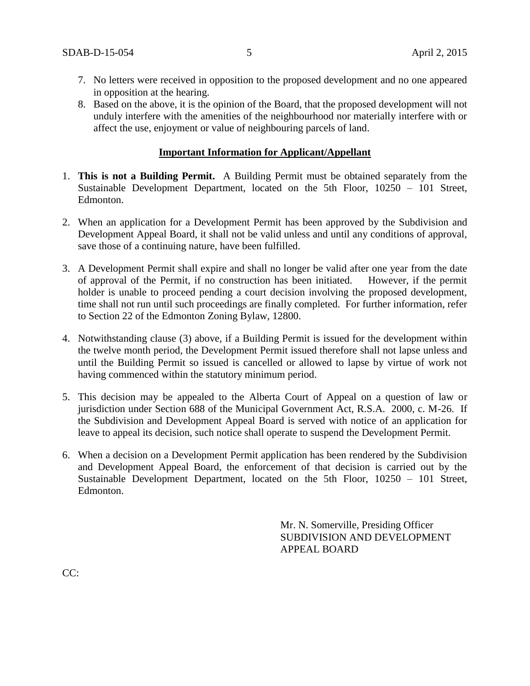- 7. No letters were received in opposition to the proposed development and no one appeared in opposition at the hearing.
- 8. Based on the above, it is the opinion of the Board, that the proposed development will not unduly interfere with the amenities of the neighbourhood nor materially interfere with or affect the use, enjoyment or value of neighbouring parcels of land.

#### **Important Information for Applicant/Appellant**

- 1. **This is not a Building Permit.** A Building Permit must be obtained separately from the Sustainable Development Department, located on the 5th Floor, 10250 – 101 Street, Edmonton.
- 2. When an application for a Development Permit has been approved by the Subdivision and Development Appeal Board, it shall not be valid unless and until any conditions of approval, save those of a continuing nature, have been fulfilled.
- 3. A Development Permit shall expire and shall no longer be valid after one year from the date of approval of the Permit, if no construction has been initiated. However, if the permit holder is unable to proceed pending a court decision involving the proposed development, time shall not run until such proceedings are finally completed. For further information, refer to Section 22 of the Edmonton Zoning Bylaw, 12800.
- 4. Notwithstanding clause (3) above, if a Building Permit is issued for the development within the twelve month period, the Development Permit issued therefore shall not lapse unless and until the Building Permit so issued is cancelled or allowed to lapse by virtue of work not having commenced within the statutory minimum period.
- 5. This decision may be appealed to the Alberta Court of Appeal on a question of law or jurisdiction under Section 688 of the Municipal Government Act, R.S.A. 2000, c. M-26. If the Subdivision and Development Appeal Board is served with notice of an application for leave to appeal its decision, such notice shall operate to suspend the Development Permit.
- 6. When a decision on a Development Permit application has been rendered by the Subdivision and Development Appeal Board, the enforcement of that decision is carried out by the Sustainable Development Department, located on the 5th Floor, 10250 – 101 Street, Edmonton.

Mr. N. Somerville, Presiding Officer SUBDIVISION AND DEVELOPMENT APPEAL BOARD

CC: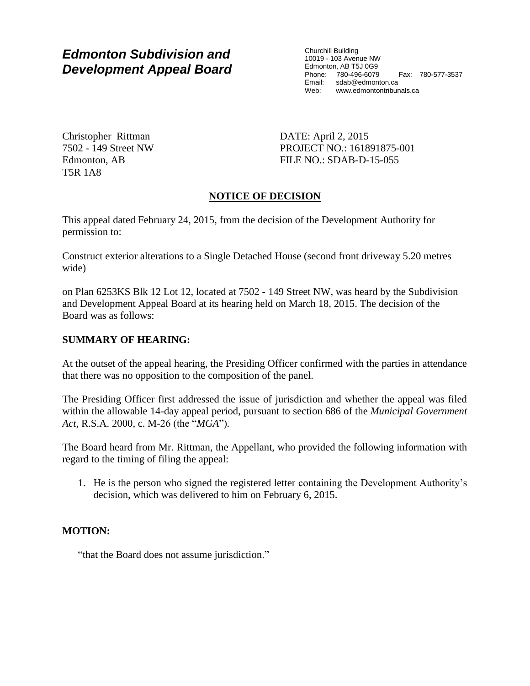# *Edmonton Subdivision and Development Appeal Board*

Churchill Building 10019 - 103 Avenue NW Edmonton, AB T5J 0G9 Phone: 780-496-6079 Fax: 780-577-3537 Email: sdab@edmonton.ca Web: www.edmontontribunals.ca

Christopher Rittman 7502 - 149 Street NW Edmonton, AB T5R 1A8

DATE: April 2, 2015 PROJECT NO.: 161891875-001 FILE NO.: SDAB-D-15-055

# **NOTICE OF DECISION**

This appeal dated February 24, 2015, from the decision of the Development Authority for permission to:

Construct exterior alterations to a Single Detached House (second front driveway 5.20 metres wide)

on Plan 6253KS Blk 12 Lot 12, located at 7502 - 149 Street NW, was heard by the Subdivision and Development Appeal Board at its hearing held on March 18, 2015. The decision of the Board was as follows:

# **SUMMARY OF HEARING:**

At the outset of the appeal hearing, the Presiding Officer confirmed with the parties in attendance that there was no opposition to the composition of the panel.

The Presiding Officer first addressed the issue of jurisdiction and whether the appeal was filed within the allowable 14-day appeal period, pursuant to section 686 of the *Municipal Government Act*, R.S.A. 2000, c. M-26 (the "*MGA*")*.*

The Board heard from Mr. Rittman, the Appellant, who provided the following information with regard to the timing of filing the appeal:

1. He is the person who signed the registered letter containing the Development Authority's decision, which was delivered to him on February 6, 2015.

# **MOTION:**

"that the Board does not assume jurisdiction."